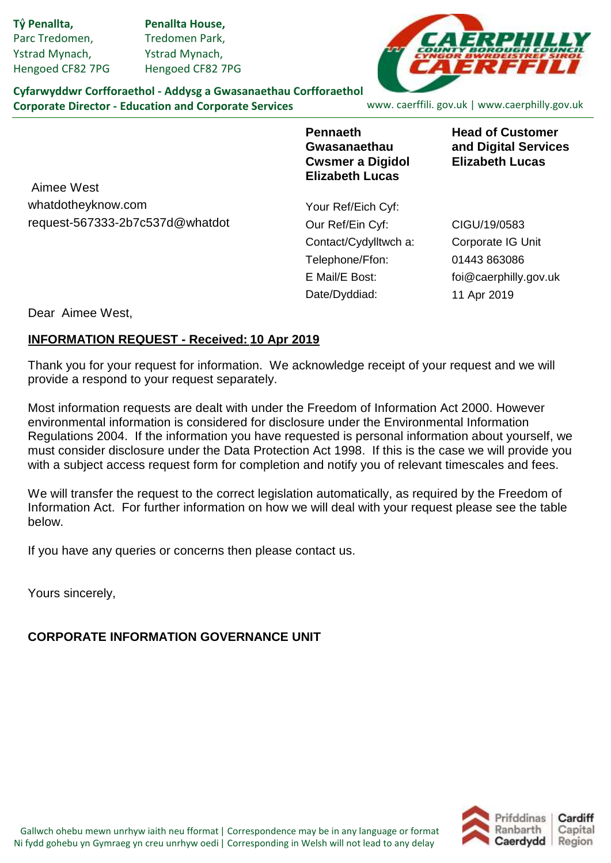Parc Tredomen, Ystrad Mynach, Hengoed CF82 7PG Tv Penallta.

Tredomen Park, Ystrad Mynach, Hengoed CF82 7PG **Ty Penallta, Penallta House,**



**Cyfarwyddwr Corfforaethol - Addysg a Gwasanaethau Corfforaethol Corporate Director - Education and Corporate Services**

www. caerffili. gov.uk | www.caerphilly.gov.uk

**Pennaeth Gwasanaethau Cwsmer a Digidol Elizabeth Lucas**

**Head of Customer and Digital Services Elizabeth Lucas**

request-567333-2b7c537d@whatdot Aimee West whatdotheyknow.com

Your Ref/Eich Cyf: Our Ref/Ein Cyf: Telephone/Ffon: E Mail/E Bost: Date/Dyddiad: Contact/Cydylltwch a:

Corporate IG Unit 01443 863086 foi@caerphilly.gov.uk CIGU/19/0583 11 Apr 2019

Dear Aimee West,

### **INFORMATION REQUEST - Received: 10 Apr 2019**

Thank you for your request for information. We acknowledge receipt of your request and we will provide a respond to your request separately.

Most information requests are dealt with under the Freedom of Information Act 2000. However environmental information is considered for disclosure under the Environmental Information Regulations 2004. If the information you have requested is personal information about yourself, we must consider disclosure under the Data Protection Act 1998. If this is the case we will provide you with a subject access request form for completion and notify you of relevant timescales and fees.

We will transfer the request to the correct legislation automatically, as required by the Freedom of Information Act. For further information on how we will deal with your request please see the table below.

If you have any queries or concerns then please contact us.

Yours sincerely,

## **CORPORATE INFORMATION GOVERNANCE UNIT**